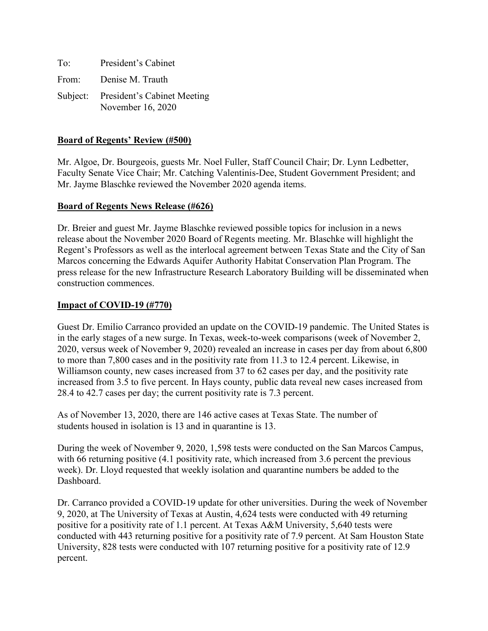| To: | President's Cabinet                                       |
|-----|-----------------------------------------------------------|
|     | From: Denise M. Trauth                                    |
|     | Subject: President's Cabinet Meeting<br>November 16, 2020 |

## **Board of Regents' Review (#500)**

Mr. Algoe, Dr. Bourgeois, guests Mr. Noel Fuller, Staff Council Chair; Dr. Lynn Ledbetter, Faculty Senate Vice Chair; Mr. Catching Valentinis-Dee, Student Government President; and Mr. Jayme Blaschke reviewed the November 2020 agenda items.

### **Board of Regents News Release (#626)**

Dr. Breier and guest Mr. Jayme Blaschke reviewed possible topics for inclusion in a news release about the November 2020 Board of Regents meeting. Mr. Blaschke will highlight the Regent's Professors as well as the interlocal agreement between Texas State and the City of San Marcos concerning the Edwards Aquifer Authority Habitat Conservation Plan Program. The press release for the new Infrastructure Research Laboratory Building will be disseminated when construction commences.

### **Impact of COVID-19 (#770)**

Guest Dr. Emilio Carranco provided an update on the COVID-19 pandemic. The United States is in the early stages of a new surge. In Texas, week-to-week comparisons (week of November 2, 2020, versus week of November 9, 2020) revealed an increase in cases per day from about 6,800 to more than 7,800 cases and in the positivity rate from 11.3 to 12.4 percent. Likewise, in Williamson county, new cases increased from 37 to 62 cases per day, and the positivity rate increased from 3.5 to five percent. In Hays county, public data reveal new cases increased from 28.4 to 42.7 cases per day; the current positivity rate is 7.3 percent.

As of November 13, 2020, there are 146 active cases at Texas State. The number of students housed in isolation is 13 and in quarantine is 13.

During the week of November 9, 2020, 1,598 tests were conducted on the San Marcos Campus, with 66 returning positive (4.1 positivity rate, which increased from 3.6 percent the previous week). Dr. Lloyd requested that weekly isolation and quarantine numbers be added to the Dashboard.

Dr. Carranco provided a COVID-19 update for other universities. During the week of November 9, 2020, at The University of Texas at Austin, 4,624 tests were conducted with 49 returning positive for a positivity rate of 1.1 percent. At Texas A&M University, 5,640 tests were conducted with 443 returning positive for a positivity rate of 7.9 percent. At Sam Houston State University, 828 tests were conducted with 107 returning positive for a positivity rate of 12.9 percent.